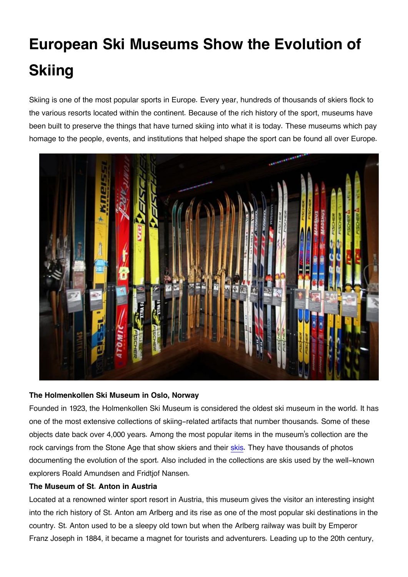# **European Ski Museums Show the Evolution of Skiing**

Skiing is one of the most popular sports in Europe. Every year, hundreds of thousands of skiers flock to the various resorts located within the continent. Because of the rich history of the sport, museums have been built to preserve the things that have turned skiing into what it is today. These museums which pay homage to the people, events, and institutions that helped shape the sport can be found all over Europe.



### **The Holmenkollen Ski Museum in Oslo, Norway**

Founded in 1923, the Holmenkollen Ski Museum is considered the oldest ski museum in the world. It has one of the most extensive collections of skiing-related artifacts that number thousands. Some of these objects date back over 4,000 years. Among the most popular items in the museum's collection are the rock carvings from the Stone Age that show skiers and their [skis.](https://www.globosurfer.com/best-all-mountain-skis/) They have thousands of photos documenting the evolution of the sport. Also included in the collections are skis used by the well-known explorers Roald Amundsen and Fridtjof Nansen.

### **The Museum of St. Anton in Austria**

Located at a renowned winter sport resort in Austria, this museum gives the visitor an interesting insight into the rich history of St. Anton am Arlberg and its rise as one of the most popular ski destinations in the country. St. Anton used to be a sleepy old town but when the Arlberg railway was built by Emperor Franz Joseph in 1884, it became a magnet for tourists and adventurers. Leading up to the 20th century,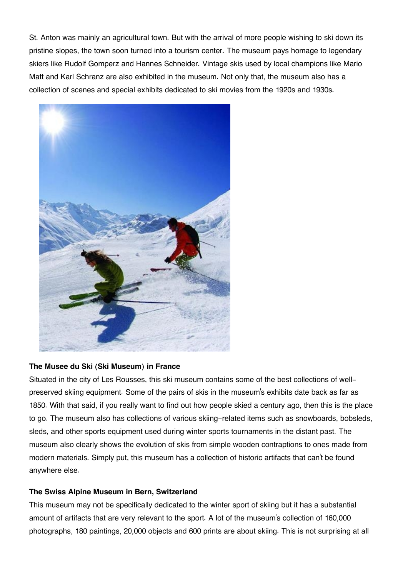St. Anton was mainly an agricultural town. But with the arrival of more people wishing to ski down its pristine slopes, the town soon turned into a tourism center. The museum pays homage to legendary skiers like Rudolf Gomperz and Hannes Schneider. Vintage skis used by local champions like Mario Matt and Karl Schranz are also exhibited in the museum. Not only that, the museum also has a collection of scenes and special exhibits dedicated to ski movies from the 1920s and 1930s.



### **The Musee du Ski (Ski Museum) in France**

Situated in the city of Les Rousses, this ski museum contains some of the best collections of wellpreserved skiing equipment. Some of the pairs of skis in the museum's exhibits date back as far as 1850. With that said, if you really want to find out how people skied a century ago, then this is the place to go. The museum also has collections of various skiing-related items such as snowboards, bobsleds, sleds, and other sports equipment used during winter sports tournaments in the distant past. The museum also clearly shows the evolution of skis from simple wooden contraptions to ones made from modern materials. Simply put, this museum has a collection of historic artifacts that can't be found anywhere else.

### **The Swiss Alpine Museum in Bern, Switzerland**

This museum may not be specifically dedicated to the winter sport of skiing but it has a substantial amount of artifacts that are very relevant to the sport. A lot of the museum's collection of 160,000 photographs, 180 paintings, 20,000 objects and 600 prints are about skiing. This is not surprising at all